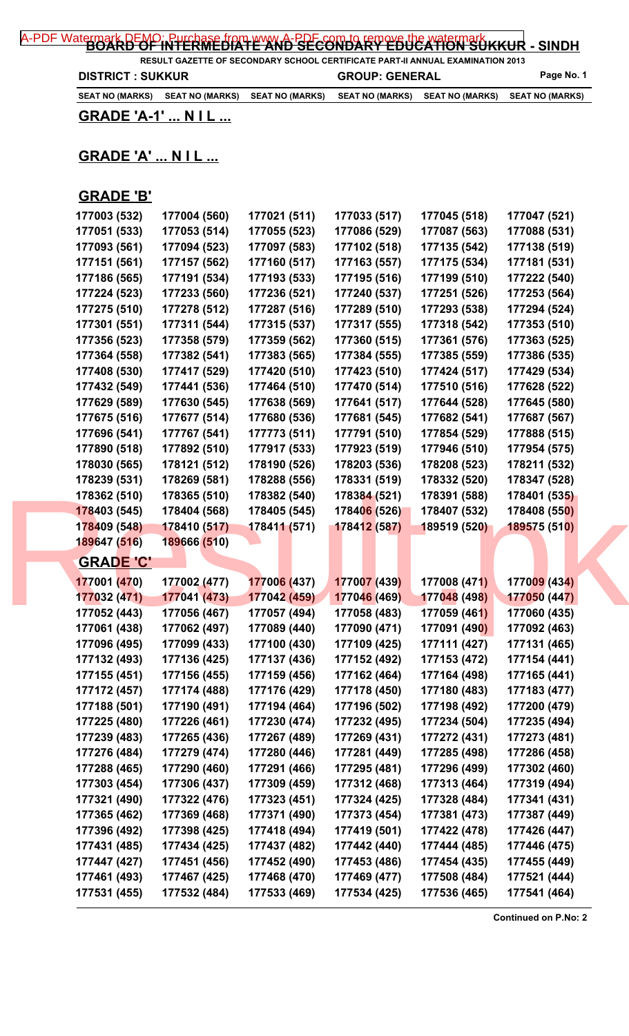| A-PDF Watermark DEMO; Purchase from www.A-PDF.com.to.remove.the watermark KKUR - SINDH |  |  |
|----------------------------------------------------------------------------------------|--|--|
|                                                                                        |  |  |

**RESULT GAZETTE OF SECONDARY SCHOOL CERTIFICATE PART-II ANNUAL EXAMINATION 2013 DISTRICT : SUKKUR GROUP: GENERAL Page No. 1** 

**SEAT NO (MARKS) SEAT NO (MARKS) SEAT NO (MARKS) SEAT NO (MARKS) SEAT NO (MARKS) SEAT NO (MARKS)**

**GRADE 'A-1' ... N I L ...**

## **GRADE 'A' ... N I L ...**

## **GRADE 'B'**

| 177003 (532)                 | 177004 (560)                 | 177021 (511)                 | 177033 (517)                 | 177045 (518)                 | 177047 (521)                 |  |
|------------------------------|------------------------------|------------------------------|------------------------------|------------------------------|------------------------------|--|
| 177051 (533)                 | 177053 (514)                 | 177055 (523)                 | 177086 (529)                 | 177087 (563)                 | 177088 (531)                 |  |
| 177093 (561)                 | 177094 (523)                 | 177097 (583)                 | 177102 (518)                 | 177135 (542)                 | 177138 (519)                 |  |
| 177151 (561)                 | 177157 (562)                 | 177160 (517)                 | 177163 (557)                 | 177175 (534)                 | 177181 (531)                 |  |
| 177186 (565)                 | 177191 (534)                 | 177193 (533)                 | 177195 (516)                 | 177199 (510)                 | 177222 (540)                 |  |
| 177224 (523)                 | 177233 (560)                 | 177236 (521)                 | 177240 (537)                 | 177251 (526)                 | 177253 (564)                 |  |
| 177275 (510)                 | 177278 (512)                 | 177287 (516)                 | 177289 (510)                 | 177293 (538)                 | 177294 (524)                 |  |
| 177301 (551)                 | 177311 (544)                 | 177315 (537)                 | 177317 (555)                 | 177318 (542)                 | 177353 (510)                 |  |
| 177356 (523)                 | 177358 (579)                 | 177359 (562)                 | 177360 (515)                 | 177361 (576)                 | 177363 (525)                 |  |
| 177364 (558)                 | 177382 (541)                 | 177383 (565)                 | 177384 (555)                 | 177385 (559)                 | 177386 (535)                 |  |
| 177408 (530)                 | 177417 (529)                 | 177420 (510)                 | 177423 (510)                 | 177424 (517)                 | 177429 (534)                 |  |
| 177432 (549)                 | 177441 (536)                 | 177464 (510)                 | 177470 (514)                 | 177510 (516)                 | 177628 (522)                 |  |
| 177629 (589)                 | 177630 (545)                 | 177638 (569)                 | 177641 (517)                 | 177644 (528)                 | 177645 (580)                 |  |
| 177675 (516)                 | 177677 (514)                 | 177680 (536)                 | 177681 (545)                 | 177682 (541)                 | 177687 (567)                 |  |
| 177696 (541)                 | 177767 (541)                 | 177773 (511)                 | 177791 (510)                 | 177854 (529)                 | 177888 (515)                 |  |
| 177890 (518)                 | 177892 (510)                 | 177917 (533)                 | 177923 (519)                 | 177946 (510)                 | 177954 (575)                 |  |
| 178030 (565)                 | 178121 (512)                 | 178190 (526)                 | 178203 (536)                 | 178208 (523)                 | 178211 (532)                 |  |
| 178239 (531)                 | 178269 (581)                 | 178288 (556)                 | 178331 (519)                 | 178332 (520)                 | 178347 (528)                 |  |
| 178362 (510)                 | 178365 (510)                 | 178382 (540)                 | 178384 (521)                 | 178391 (588)                 | 178401 (535)                 |  |
| 178403 (545)                 | 178404 (568)                 | 178405 (545)                 | 178406 (526)                 | 178407 (532)                 | 178408 (550)                 |  |
| 178409 (548)                 | 178410 (517)                 | 178411 (571)                 | 178412 (587)                 | 189519 (520)                 | 189575 (510)                 |  |
| 189647 (516)                 | 189666 (510)                 |                              |                              |                              |                              |  |
| <b>GRADE 'C'</b>             |                              |                              |                              |                              |                              |  |
|                              |                              |                              |                              |                              |                              |  |
| 177001 (470)                 | 177002 (477)                 | 177006 (437)                 | 177007 (439)                 | 177008 (471)                 | 177009 (434)                 |  |
| 177032 (471)                 | 177041 (473)                 | 177042 (459)                 | 177046 (469)                 | 177048 (498)                 | 177050 (447)                 |  |
| 177052 (443)                 | 177056 (467)                 | 177057 (494)                 | 177058 (483)                 | 177059 (461)                 | 177060 (435)                 |  |
| 177061 (438)                 | 177062 (497)                 | 177089 (440)                 | 177090 (471)                 | 177091 (490)                 | 177092 (463)                 |  |
| 177096 (495)                 | 177099 (433)                 | 177100 (430)<br>177137 (436) | 177109 (425)                 | 177111 (427)                 | 177131 (465)                 |  |
| 177132 (493)                 | 177136 (425)                 |                              | 177152 (492)                 | 177153 (472)                 | 177154 (441)                 |  |
| 177155 (451)                 | 177156 (455)                 | 177159 (456)                 | 177162 (464)                 | 177164 (498)                 | 177165 (441)                 |  |
| 177172 (457)                 | 177174 (488)                 | 177176 (429)                 | 177178 (450)                 | 177180 (483)                 | 177183 (477)                 |  |
| 177188 (501)                 | 177190 (491)                 | 177194 (464)                 | 177196 (502)                 | 177198 (492)                 | 177200 (479)                 |  |
| 177225 (480)                 | 177226 (461)                 | 177230 (474)                 | 177232 (495)                 | 177234 (504)                 | 177235 (494)                 |  |
| 177239 (483)                 | 177265 (436)                 | 177267 (489)                 | 177269 (431)                 | 177272 (431)                 | 177273 (481)                 |  |
| 177276 (484)                 | 177279 (474)                 | 177280 (446)                 | 177281 (449)                 | 177285 (498)                 | 177286 (458)                 |  |
| 177288 (465)                 | 177290 (460)                 | 177291 (466)                 | 177295 (481)                 | 177296 (499)                 | 177302 (460)                 |  |
| 177303 (454)                 | 177306 (437)                 | 177309 (459)                 | 177312 (468)                 | 177313 (464)                 | 177319 (494)                 |  |
| 177321 (490)                 | 177322 (476)                 | 177323 (451)                 | 177324 (425)                 | 177328 (484)                 | 177341 (431)                 |  |
| 177365 (462)                 | 177369 (468)                 | 177371 (490)                 | 177373 (454)                 | 177381 (473)                 | 177387 (449)                 |  |
| 177396 (492)                 | 177398 (425)                 | 177418 (494)                 | 177419 (501)                 | 177422 (478)                 | 177426 (447)                 |  |
| 177431 (485)                 | 177434 (425)                 | 177437 (482)                 | 177442 (440)                 | 177444 (485)                 | 177446 (475)                 |  |
| 177447 (427)                 | 177451 (456)                 | 177452 (490)                 | 177453 (486)                 | 177454 (435)                 | 177455 (449)                 |  |
|                              |                              |                              |                              |                              |                              |  |
| 177461 (493)<br>177531 (455) | 177467 (425)<br>177532 (484) | 177468 (470)<br>177533 (469) | 177469 (477)<br>177534 (425) | 177508 (484)<br>177536 (465) | 177521 (444)<br>177541 (464) |  |

**Continued on P.No: 2**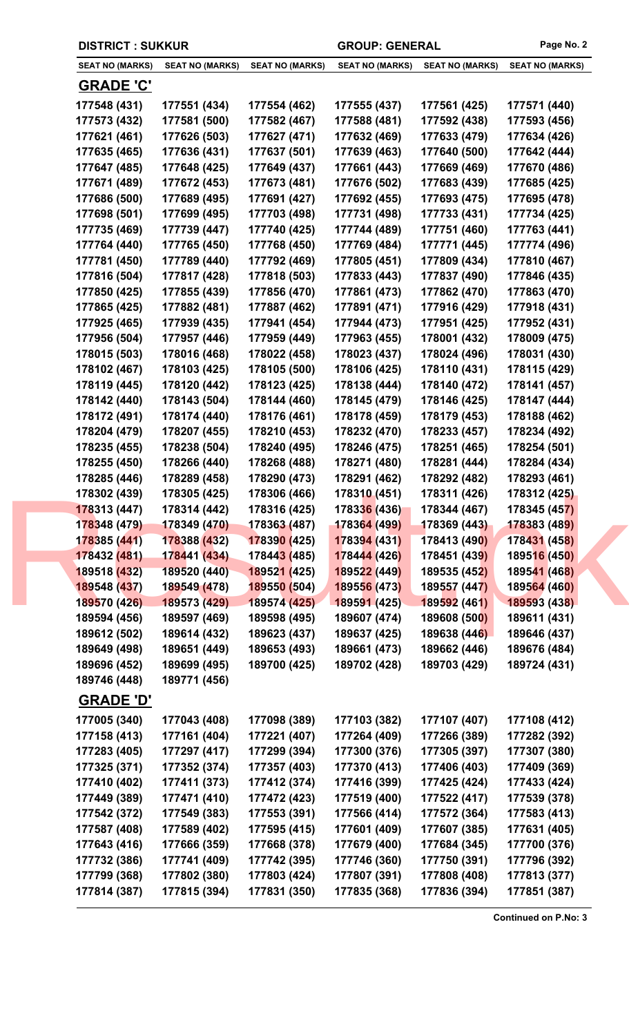|                              | <b>DISTRICT: SUKKUR</b>      |                              |                              | <b>GROUP: GENERAL</b>        |                              |
|------------------------------|------------------------------|------------------------------|------------------------------|------------------------------|------------------------------|
| <b>SEAT NO (MARKS)</b>       | <b>SEAT NO (MARKS)</b>       | <b>SEAT NO (MARKS)</b>       | <b>SEAT NO (MARKS)</b>       | <b>SEAT NO (MARKS)</b>       | <b>SEAT NO (MARKS)</b>       |
| <b>GRADE 'C'</b>             |                              |                              |                              |                              |                              |
| 177548 (431)                 | 177551 (434)                 | 177554 (462)                 | 177555 (437)                 | 177561 (425)                 | 177571 (440)                 |
| 177573 (432)                 | 177581 (500)                 | 177582 (467)                 | 177588 (481)                 | 177592 (438)                 | 177593 (456)                 |
| 177621 (461)                 | 177626 (503)                 | 177627 (471)                 | 177632 (469)                 | 177633 (479)                 | 177634 (426)                 |
| 177635 (465)                 | 177636 (431)                 | 177637 (501)                 | 177639 (463)                 | 177640 (500)                 | 177642 (444)                 |
| 177647 (485)                 | 177648 (425)                 | 177649 (437)                 | 177661 (443)                 | 177669 (469)                 | 177670 (486)                 |
| 177671 (489)                 | 177672 (453)                 | 177673 (481)                 | 177676 (502)                 | 177683 (439)                 | 177685 (425)                 |
| 177686 (500)                 | 177689 (495)                 | 177691 (427)                 | 177692 (455)                 | 177693 (475)                 | 177695 (478)                 |
| 177698 (501)                 | 177699 (495)                 | 177703 (498)                 | 177731 (498)                 | 177733 (431)                 | 177734 (425)                 |
| 177735 (469)                 | 177739 (447)                 | 177740 (425)                 | 177744 (489)                 | 177751 (460)                 | 177763 (441)                 |
| 177764 (440)                 | 177765 (450)                 | 177768 (450)                 | 177769 (484)                 | 177771 (445)                 | 177774 (496)                 |
| 177781 (450)                 | 177789 (440)                 | 177792 (469)                 | 177805 (451)                 | 177809 (434)                 | 177810 (467)                 |
| 177816 (504)                 | 177817 (428)                 | 177818 (503)                 | 177833 (443)                 | 177837 (490)                 | 177846 (435)                 |
| 177850 (425)                 | 177855 (439)                 | 177856 (470)                 | 177861 (473)                 | 177862 (470)                 | 177863 (470)                 |
| 177865 (425)                 | 177882 (481)                 | 177887 (462)                 | 177891 (471)                 | 177916 (429)                 | 177918 (431)                 |
| 177925 (465)                 | 177939 (435)                 | 177941 (454)                 | 177944 (473)                 | 177951 (425)                 | 177952 (431)                 |
| 177956 (504)                 | 177957 (446)                 | 177959 (449)                 | 177963 (455)                 | 178001 (432)                 | 178009 (475)                 |
| 178015 (503)                 | 178016 (468)                 | 178022 (458)                 | 178023 (437)                 | 178024 (496)                 | 178031 (430)                 |
| 178102 (467)                 | 178103 (425)                 | 178105 (500)                 | 178106 (425)                 | 178110 (431)                 | 178115 (429)                 |
| 178119 (445)                 | 178120 (442)                 | 178123 (425)                 | 178138 (444)                 | 178140 (472)                 | 178141 (457)                 |
| 178142 (440)                 | 178143 (504)                 | 178144 (460)                 | 178145 (479)                 | 178146 (425)                 | 178147 (444)                 |
| 178172 (491)                 | 178174 (440)                 | 178176 (461)                 | 178178 (459)                 | 178179 (453)                 | 178188 (462)                 |
| 178204 (479)                 | 178207 (455)                 | 178210 (453)                 | 178232 (470)                 | 178233 (457)                 | 178234 (492)                 |
| 178235 (455)                 | 178238 (504)                 | 178240 (495)                 | 178246 (475)                 | 178251 (465)                 | 178254 (501)                 |
| 178255 (450)                 | 178266 (440)                 | 178268 (488)                 | 178271 (480)                 | 178281 (444)                 | 178284 (434)                 |
| 178285 (446)                 | 178289 (458)                 | 178290 (473)                 | 178291 (462)                 | 178292 (482)                 | 178293 (461)                 |
| 178302 (439)                 | 178305 (425)                 | 178306 (466)                 | 178310 (451)                 | 178311 (426)                 | 178312 (425)                 |
| 178313 (447)                 | 178314 (442)                 | 178316 (425)                 | 178336 (436)                 | 178344 (467)<br>178369 (443) | 178345 (457)                 |
| 178348 (479)<br>178385 (441) | 178349 (470)<br>178388 (432) | 178363 (487)<br>178390 (425) | 178364 (499)<br>178394 (431) | 178413 (490)                 | 178383 (489)<br>178431 (458) |
| 178432 (481)                 | 178441 (434)                 | 17844 <mark>3 (</mark> 485)  | 178444 (426)                 | 178451 (439)                 | 189516 (450)                 |
| 189518 (432)                 | 189520 (440)                 | 189521 (425)                 | 189522 (449)                 | 189535 (452)                 | 189541 (468)                 |
| 189548 (437)                 | 189549 (478)                 | 189550 (504)                 | 189556 (473)                 | 189557 (447)                 | 189564 (460)                 |
| 189570 (426)                 | 189573 (429)                 | 189574 (425)                 | 189591 (425)                 | 189592 (461)                 | 189593 (438)                 |
| 189594 (456)                 | 189597 (469)                 | 189598 (495)                 | 189607 (474)                 | 189608 (500)                 | 189611 (431)                 |
| 189612 (502)                 | 189614 (432)                 | 189623 (437)                 | 189637 (425)                 | 189638 (446)                 | 189646 (437)                 |
| 189649 (498)                 | 189651 (449)                 | 189653 (493)                 | 189661 (473)                 | 189662 (446)                 | 189676 (484)                 |
| 189696 (452)                 | 189699 (495)                 | 189700 (425)                 | 189702 (428)                 | 189703 (429)                 | 189724 (431)                 |
| 189746 (448)                 | 189771 (456)                 |                              |                              |                              |                              |
| <u>GRADE 'D'</u>             |                              |                              |                              |                              |                              |
| 177005 (340)                 | 177043 (408)                 | 177098 (389)                 | 177103 (382)                 | 177107 (407)                 | 177108 (412)                 |
| 177158 (413)                 | 177161 (404)                 | 177221 (407)                 | 177264 (409)                 | 177266 (389)                 | 177282 (392)                 |
| 177283 (405)                 | 177297 (417)                 | 177299 (394)                 | 177300 (376)                 | 177305 (397)                 | 177307 (380)                 |
| 177325 (371)                 | 177352 (374)                 | 177357 (403)                 | 177370 (413)                 | 177406 (403)                 | 177409 (369)                 |
| 177410 (402)                 | 177411 (373)                 | 177412 (374)                 | 177416 (399)                 | 177425 (424)                 | 177433 (424)                 |
| 177449 (389)                 | 177471 (410)                 | 177472 (423)                 | 177519 (400)                 | 177522 (417)                 | 177539 (378)                 |
| 177542 (372)                 | 177549 (383)                 | 177553 (391)                 | 177566 (414)                 | 177572 (364)                 | 177583 (413)                 |
| 177587 (408)                 | 177589 (402)                 | 177595 (415)                 | 177601 (409)                 | 177607 (385)                 | 177631 (405)                 |
| 177643 (416)                 | 177666 (359)                 | 177668 (378)                 | 177679 (400)                 | 177684 (345)                 | 177700 (376)                 |
| 177732 (386)                 | 177741 (409)                 | 177742 (395)                 | 177746 (360)                 | 177750 (391)                 | 177796 (392)                 |
| 177799 (368)                 | 177802 (380)                 | 177803 (424)                 | 177807 (391)                 | 177808 (408)                 | 177813 (377)                 |
| 177814 (387)                 | 177815 (394)                 | 177831 (350)                 | 177835 (368)                 | 177836 (394)                 | 177851 (387)                 |

**Continued on P.No: 3**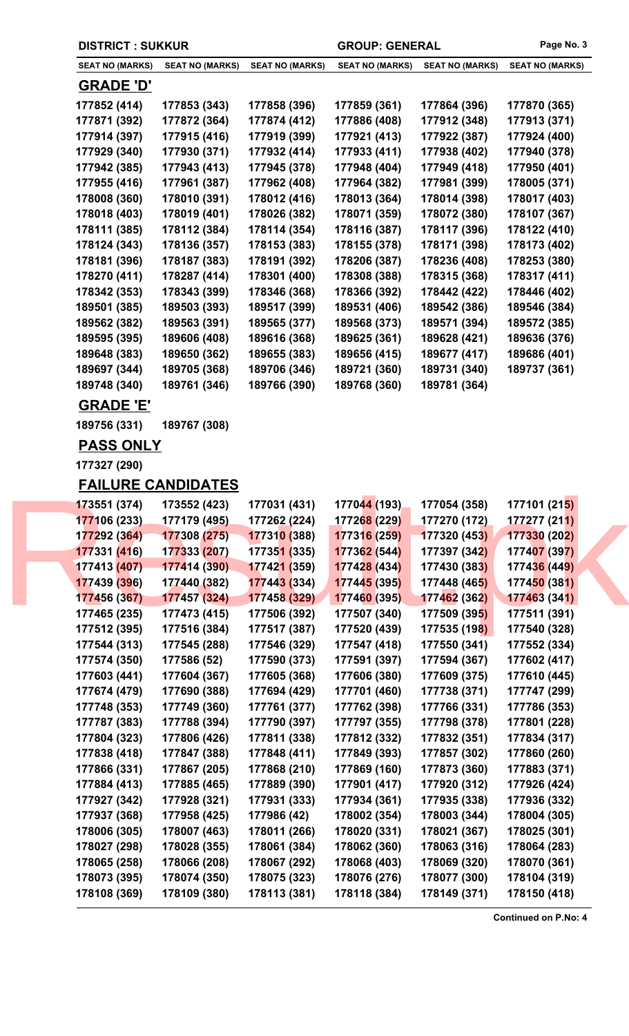|                        | <b>DISTRICT: SUKKUR</b>   |                        |                        | <b>GROUP: GENERAL</b>  | Page No. 3                 |  |
|------------------------|---------------------------|------------------------|------------------------|------------------------|----------------------------|--|
| <b>SEAT NO (MARKS)</b> | <b>SEAT NO (MARKS)</b>    | <b>SEAT NO (MARKS)</b> | <b>SEAT NO (MARKS)</b> | <b>SEAT NO (MARKS)</b> | <b>SEAT NO (MARKS)</b>     |  |
| <b>GRADE 'D'</b>       |                           |                        |                        |                        |                            |  |
| 177852 (414)           | 177853 (343)              | 177858 (396)           | 177859 (361)           | 177864 (396)           | 177870 (365)               |  |
| 177871 (392)           | 177872 (364)              | 177874 (412)           | 177886 (408)           | 177912 (348)           | 177913 (371)               |  |
| 177914 (397)           | 177915 (416)              | 177919 (399)           | 177921 (413)           | 177922 (387)           | 177924 (400)               |  |
| 177929 (340)           | 177930 (371)              | 177932 (414)           | 177933 (411)           | 177938 (402)           | 177940 (378)               |  |
| 177942 (385)           | 177943 (413)              | 177945 (378)           | 177948 (404)           | 177949 (418)           | 177950 (401)               |  |
| 177955 (416)           | 177961 (387)              | 177962 (408)           | 177964 (382)           | 177981 (399)           | 178005 (371)               |  |
| 178008 (360)           | 178010 (391)              | 178012 (416)           | 178013 (364)           | 178014 (398)           | 178017 (403)               |  |
| 178018 (403)           | 178019 (401)              | 178026 (382)           | 178071 (359)           | 178072 (380)           | 178107 (367)               |  |
| 178111 (385)           | 178112 (384)              | 178114 (354)           | 178116 (387)           | 178117 (396)           | 178122 (410)               |  |
| 178124 (343)           | 178136 (357)              | 178153 (383)           | 178155 (378)           | 178171 (398)           | 178173 (402)               |  |
| 178181 (396)           | 178187 (383)              | 178191 (392)           | 178206 (387)           | 178236 (408)           | 178253 (380)               |  |
| 178270 (411)           | 178287 (414)              | 178301 (400)           | 178308 (388)           | 178315 (368)           | 178317 (411)               |  |
| 178342 (353)           | 178343 (399)              | 178346 (368)           | 178366 (392)           | 178442 (422)           | 178446 (402)               |  |
| 189501 (385)           | 189503 (393)              | 189517 (399)           | 189531 (406)           | 189542 (386)           | 189546 (384)               |  |
| 189562 (382)           | 189563 (391)              | 189565 (377)           | 189568 (373)           | 189571 (394)           | 189572 (385)               |  |
| 189595 (395)           | 189606 (408)              | 189616 (368)           | 189625 (361)           | 189628 (421)           | 189636 (376)               |  |
| 189648 (383)           | 189650 (362)              | 189655 (383)           | 189656 (415)           | 189677 (417)           | 189686 (401)               |  |
| 189697 (344)           | 189705 (368)              | 189706 (346)           | 189721 (360)           | 189731 (340)           | 189737 (361)               |  |
| 189748 (340)           | 189761 (346)              | 189766 (390)           | 189768 (360)           | 189781 (364)           |                            |  |
| <u>GRADE 'E'</u>       |                           |                        |                        |                        |                            |  |
| 189756 (331)           | 189767 (308)              |                        |                        |                        |                            |  |
| <b>PASS ONLY</b>       |                           |                        |                        |                        |                            |  |
| 177327 (290)           |                           |                        |                        |                        |                            |  |
|                        | <b>FAILURE CANDIDATES</b> |                        |                        |                        |                            |  |
| 173551 (374)           | 173552 (423)              | 177031 (431)           | 177044 (193)           | 177054 (358)           | 177101 (21 <mark>5)</mark> |  |
| 177106 (233)           | 177179 (495)              | 177262 (224)           | 177268 (229)           | 177270 (172)           | 177277 (211)               |  |
| 177292 (364)           | 177308 (275)              | 177310 (388)           | 177316 (259)           | 177320 (453)           | 177330 (202)               |  |
| 177331 (416)           | 177333 (207)              | 177351 (335)           | 177362 (544)           | 177397 (342)           | 177407 (397)               |  |
| 177413 (407)           | 177414 (390)              | 177421 (359)           | 177428 (434)           | 177430 (383)           | 177436 (449)               |  |
| 177439 (396)           | 177440 (382)              | 177443 (334)           | 177445 (395)           | 177448 (465)           | 177450 (381)               |  |
| 177456 (367)           | 177457 (324)              | 177458 (329)           | 177460 (395)           | 177462 (362)           | 177463 (341)               |  |
| 177465 (235)           | 177473 (415)              | 177506 (392)           | 177507 (340)           | 177509 (395)           | 177511 (391)               |  |
| 177512 (395)           | 177516 (384)              | 177517 (387)           | 177520 (439)           | 177535 (198)           | 177540 (328)               |  |
| 177544 (313)           | 177545 (288)              | 177546 (329)           | 177547 (418)           | 177550 (341)           | 177552 (334)               |  |
| 177574 (350)           | 177586 (52)               | 177590 (373)           | 177591 (397)           | 177594 (367)           | 177602 (417)               |  |
| 177603 (441)           | 177604 (367)              | 177605 (368)           | 177606 (380)           | 177609 (375)           | 177610 (445)               |  |
| 177674 (479)           | 177690 (388)              | 177694 (429)           | 177701 (460)           | 177738 (371)           | 177747 (299)               |  |
| 177748 (353)           | 177749 (360)              | 177761 (377)           | 177762 (398)           | 177766 (331)           | 177786 (353)               |  |
| 177787 (383)           | 177788 (394)              | 177790 (397)           | 177797 (355)           | 177798 (378)           | 177801 (228)               |  |
| 177804 (323)           | 177806 (426)              | 177811 (338)           | 177812 (332)           | 177832 (351)           | 177834 (317)               |  |
| 177838 (418)           | 177847 (388)              | 177848 (411)           | 177849 (393)           | 177857 (302)           | 177860 (260)               |  |
| 177866 (331)           | 177867 (205)              | 177868 (210)           | 177869 (160)           | 177873 (360)           | 177883 (371)               |  |
| 177884 (413)           | 177885 (465)              | 177889 (390)           | 177901 (417)           | 177920 (312)           | 177926 (424)               |  |
| 177927 (342)           | 177928 (321)              | 177931 (333)           | 177934 (361)           | 177935 (338)           | 177936 (332)               |  |
| 177937 (368)           | 177958 (425)              | 177986 (42)            | 178002 (354)           | 178003 (344)           | 178004 (305)               |  |
| 178006 (305)           | 178007 (463)              | 178011 (266)           | 178020 (331)           | 178021 (367)           | 178025 (301)               |  |
| 178027 (298)           | 178028 (355)              | 178061 (384)           | 178062 (360)           | 178063 (316)           | 178064 (283)               |  |
| 178065 (258)           | 178066 (208)              | 178067 (292)           | 178068 (403)           | 178069 (320)           | 178070 (361)               |  |
| 178073 (395)           | 178074 (350)              | 178075 (323)           | 178076 (276)           | 178077 (300)           | 178104 (319)               |  |
| 178108 (369)           | 178109 (380)              | 178113 (381)           | 178118 (384)           | 178149 (371)           | 178150 (418)               |  |

**Continued on P.No: 4**